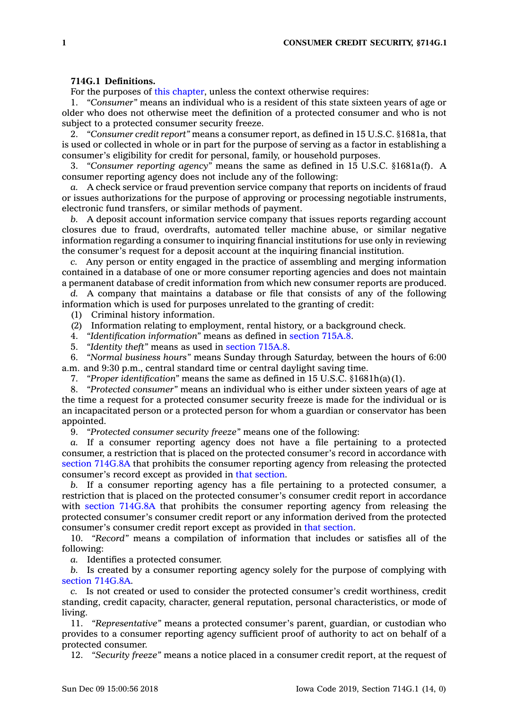## **714G.1 Definitions.**

For the purposes of this [chapter](https://www.legis.iowa.gov/docs/code//714G.pdf), unless the context otherwise requires:

1. *"Consumer"* means an individual who is <sup>a</sup> resident of this state sixteen years of age or older who does not otherwise meet the definition of <sup>a</sup> protected consumer and who is not subject to <sup>a</sup> protected consumer security freeze.

2. *"Consumer credit report"* means <sup>a</sup> consumer report, as defined in 15 U.S.C. §1681a, that is used or collected in whole or in part for the purpose of serving as <sup>a</sup> factor in establishing <sup>a</sup> consumer's eligibility for credit for personal, family, or household purposes.

3. *"Consumer reporting agency"* means the same as defined in 15 U.S.C. §1681a(f). A consumer reporting agency does not include any of the following:

*a.* A check service or fraud prevention service company that reports on incidents of fraud or issues authorizations for the purpose of approving or processing negotiable instruments, electronic fund transfers, or similar methods of payment.

*b.* A deposit account information service company that issues reports regarding account closures due to fraud, overdrafts, automated teller machine abuse, or similar negative information regarding <sup>a</sup> consumer to inquiring financial institutions for use only in reviewing the consumer's request for <sup>a</sup> deposit account at the inquiring financial institution.

*c.* Any person or entity engaged in the practice of assembling and merging information contained in <sup>a</sup> database of one or more consumer reporting agencies and does not maintain <sup>a</sup> permanent database of credit information from which new consumer reports are produced.

*d.* A company that maintains <sup>a</sup> database or file that consists of any of the following information which is used for purposes unrelated to the granting of credit:

(1) Criminal history information.

(2) Information relating to employment, rental history, or <sup>a</sup> background check.

4. *"Identification information"* means as defined in [section](https://www.legis.iowa.gov/docs/code/715A.8.pdf) 715A.8.

5. *"Identity theft"* means as used in [section](https://www.legis.iowa.gov/docs/code/715A.8.pdf) 715A.8.

6. *"Normal business hours"* means Sunday through Saturday, between the hours of 6:00 a.m. and 9:30 p.m., central standard time or central daylight saving time.

7. *"Proper identification"* means the same as defined in 15 U.S.C. §1681h(a)(1).

8. *"Protected consumer"* means an individual who is either under sixteen years of age at the time <sup>a</sup> request for <sup>a</sup> protected consumer security freeze is made for the individual or is an incapacitated person or <sup>a</sup> protected person for whom <sup>a</sup> guardian or conservator has been appointed.

9. *"Protected consumer security freeze"* means one of the following:

*a.* If <sup>a</sup> consumer reporting agency does not have <sup>a</sup> file pertaining to <sup>a</sup> protected consumer, <sup>a</sup> restriction that is placed on the protected consumer's record in accordance with section [714G.8A](https://www.legis.iowa.gov/docs/code/714G.8A.pdf) that prohibits the consumer reporting agency from releasing the protected consumer's record except as provided in that [section](https://www.legis.iowa.gov/docs/code/714G.8A.pdf).

*b.* If <sup>a</sup> consumer reporting agency has <sup>a</sup> file pertaining to <sup>a</sup> protected consumer, <sup>a</sup> restriction that is placed on the protected consumer's consumer credit report in accordance with section [714G.8A](https://www.legis.iowa.gov/docs/code/714G.8A.pdf) that prohibits the consumer reporting agency from releasing the protected consumer's consumer credit report or any information derived from the protected consumer's consumer credit report except as provided in that [section](https://www.legis.iowa.gov/docs/code/714G.8A.pdf).

10. *"Record"* means <sup>a</sup> compilation of information that includes or satisfies all of the following:

*a.* Identifies <sup>a</sup> protected consumer.

*b.* Is created by <sup>a</sup> consumer reporting agency solely for the purpose of complying with section [714G.8A](https://www.legis.iowa.gov/docs/code/714G.8A.pdf).

*c.* Is not created or used to consider the protected consumer's credit worthiness, credit standing, credit capacity, character, general reputation, personal characteristics, or mode of living.

11. *"Representative"* means <sup>a</sup> protected consumer's parent, guardian, or custodian who provides to <sup>a</sup> consumer reporting agency sufficient proof of authority to act on behalf of <sup>a</sup> protected consumer.

12. *"Security freeze"* means <sup>a</sup> notice placed in <sup>a</sup> consumer credit report, at the request of